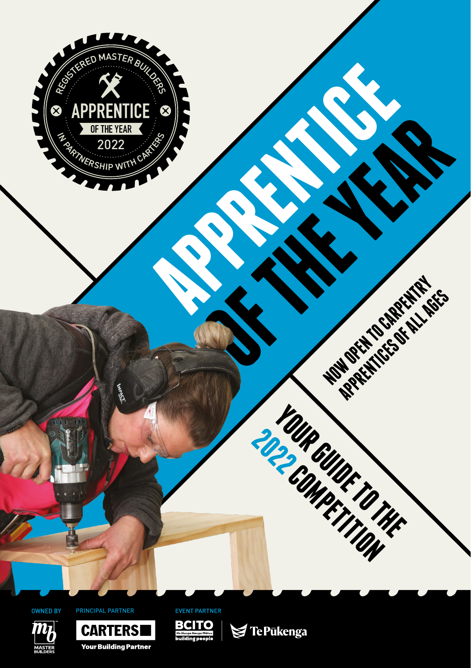







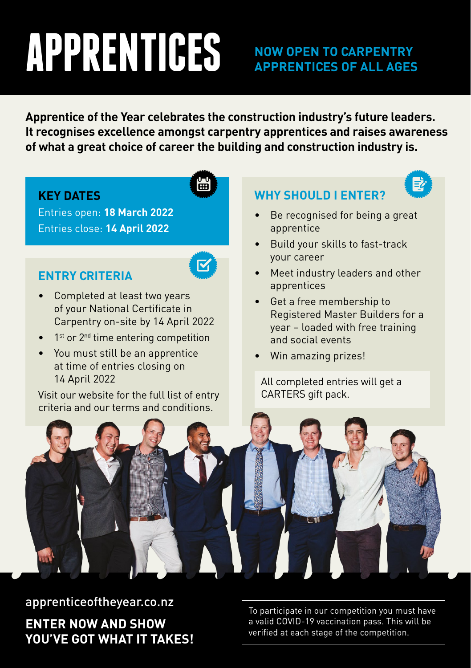# **APPRENTICES**

### **NOW OPEN TO CARPENTRY APPRENTICES OF ALL AGES**

**Apprentice of the Year celebrates the construction industry's future leaders. It recognises excellence amongst carpentry apprentices and raises awareness of what a great choice of career the building and construction industry is.**

#### **KEY DATES**

Entries open: **18 March 2022** Entries close: **14 April 2022**

#### **ENTRY CRITERIA**

闓

- Completed at least two years of your National Certificate in Carpentry on-site by 14 April 2022
- 1<sup>st</sup> or 2<sup>nd</sup> time entering competition
- You must still be an apprentice at time of entries closing on 14 April 2022

Visit our website for the full list of entry criteria and our terms and conditions.

### **WHY SHOULD I ENTER?**

- Be recognised for being a great apprentice
- Build your skills to fast-track your career
- Meet industry leaders and other apprentices
- Get a free membership to Registered Master Builders for a year – loaded with free training and social events
- Win amazing prizes!

All completed entries will get a CARTERS gift pack.



apprenticeoftheyear.co.nz **ENTER NOW AND SHOW YOU'VE GOT WHAT IT TAKES!**

To participate in our competition you must have a valid COVID-19 vaccination pass. This will be verified at each stage of the competition.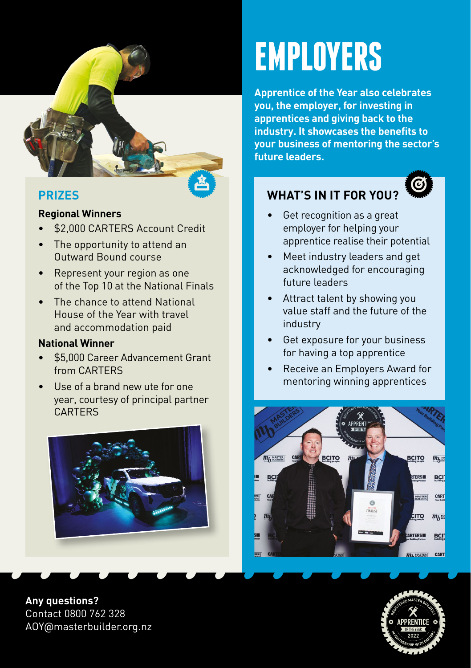

#### **PRIZES**

#### **Regional Winners**

- \$2,000 CARTERS Account Credit
- The opportunity to attend an Outward Bound course
- Represent your region as one of the Top 10 at the National Finals
- The chance to attend National House of the Year with travel and accommodation paid

#### **National Winner**

- \$5,000 Career Advancement Grant from CARTERS
- Use of a brand new ute for one year, courtesy of principal partner CARTERS



**Any questions?** Contact 0800 762 328 AOY@masterbuilder.org.nz

# **EMPLOYERS**

**Apprentice of the Year also celebrates you, the employer, for investing in apprentices and giving back to the industry. It showcases the benefits to your business of mentoring the sector's future leaders.**

# **WHAT'S IN IT FOR YOU?**

Get recognition as a great employer for helping your apprentice realise their potential

G

- Meet industry leaders and get acknowledged for encouraging future leaders
- Attract talent by showing you value staff and the future of the industry
- Get exposure for your business for having a top apprentice
- Receive an Employers Award for mentoring winning apprentices